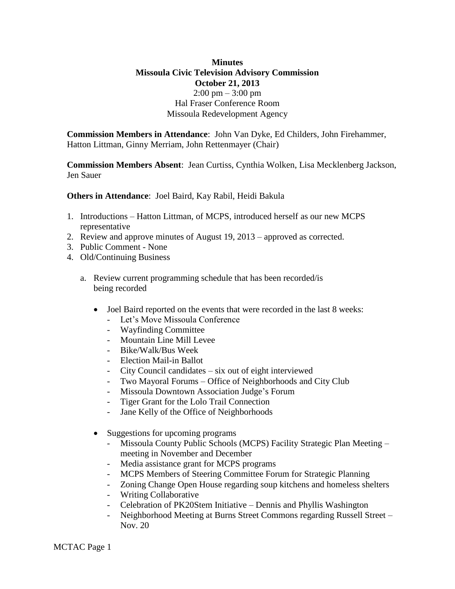## **Minutes Missoula Civic Television Advisory Commission October 21, 2013**  $2:00 \text{ pm} - 3:00 \text{ pm}$ Hal Fraser Conference Room Missoula Redevelopment Agency

**Commission Members in Attendance**: John Van Dyke, Ed Childers, John Firehammer, Hatton Littman, Ginny Merriam, John Rettenmayer (Chair)

**Commission Members Absent**: Jean Curtiss, Cynthia Wolken, Lisa Mecklenberg Jackson, Jen Sauer

**Others in Attendance**: Joel Baird, Kay Rabil, Heidi Bakula

- 1. Introductions Hatton Littman, of MCPS, introduced herself as our new MCPS representative
- 2. Review and approve minutes of August 19, 2013 approved as corrected.
- 3. Public Comment None
- 4. Old/Continuing Business
	- a. Review current programming schedule that has been recorded/is being recorded
		- Joel Baird reported on the events that were recorded in the last 8 weeks:
			- Let's Move Missoula Conference
			- Wayfinding Committee
			- Mountain Line Mill Levee
			- Bike/Walk/Bus Week
			- Election Mail-in Ballot
			- City Council candidates six out of eight interviewed
			- Two Mayoral Forums Office of Neighborhoods and City Club
			- Missoula Downtown Association Judge's Forum
			- Tiger Grant for the Lolo Trail Connection
			- Jane Kelly of the Office of Neighborhoods
		- Suggestions for upcoming programs
			- Missoula County Public Schools (MCPS) Facility Strategic Plan Meeting meeting in November and December
			- Media assistance grant for MCPS programs
			- MCPS Members of Steering Committee Forum for Strategic Planning
			- Zoning Change Open House regarding soup kitchens and homeless shelters
			- Writing Collaborative
			- Celebration of PK20Stem Initiative Dennis and Phyllis Washington
			- Neighborhood Meeting at Burns Street Commons regarding Russell Street Nov. 20